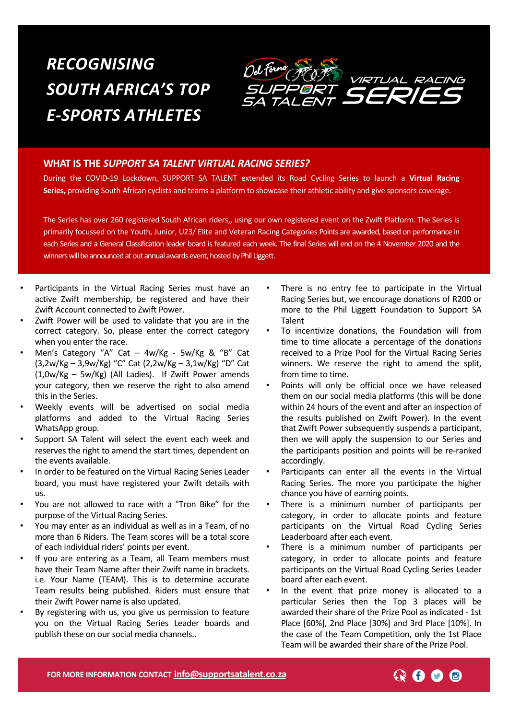# *RECOGNISING SOUTH AFRICA'S TOP E-SPORTS ATHLETES*



#### **WHAT IS THE** *SUPPORT SA TALENT VIRTUAL RACING SERIES?*

During the COVID-19 Lockdown, SUPPORT SA TALENT extended its Road Cycling Series to launch a **Virtual Racing Series,** providing South African cyclists and teams a platform to showcase their athletic ability and give sponsors coverage.

The Series has over 260 registered South African riders,, using our own registered event on the Zwift Platform. The Series is primarily focussed on the Youth, Junior, U23/ Elite and Veteran Racing Categories Points are awarded, based on performance in each Series and a General Classification leader board is featured each week. The final Series will end on the 4 November 2020 and the winners will be announced at out annual awards event, hosted by Phil Liggett.

- Participants in the Virtual Racing Series must have an active Zwift membership, be registered and have their Zwift Account connected to Zwift Power.
- Zwift Power will be used to validate that you are in the correct category. So, please enter the correct category when you enter the race.
- Men's Category "A" Cat 4w/Kg 5w/Kg & "B" Cat (3,2w/Kg – 3,9w/Kg) "C" Cat (2,2w/Kg – 3,1w/Kg) "D" Cat (1,0w/Kg – 5w/Kg) (All Ladies). If Zwift Power amends your category, then we reserve the right to also amend this in the Series.
- Weekly events will be advertised on social media platforms and added to the Virtual Racing Series WhatsApp group.
- Support SA Talent will select the event each week and reserves the right to amend the start times, dependent on the events available.
- In order to be featured on the Virtual Racing Series Leader board, you must have registered your Zwift details with us.
- You are not allowed to race with a "Tron Bike" for the purpose of the Virtual Racing Series.
- You may enter as an individual as well as in a Team, of no more than 6 Riders. The Team scores will be a total score of each individual riders' points per event.
- If you are entering as a Team, all Team members must have their Team Name after their Zwift name in brackets. i.e. Your Name (TEAM). This is to determine accurate Team results being published. Riders must ensure that their Zwift Power name is also updated.
- By registering with us, you give us permission to feature you on the Virtual Racing Series Leader boards and publish these on our social media channels..
- There is no entry fee to participate in the Virtual Racing Series but, we encourage donations of R200 or more to the Phil Liggett Foundation to Support SA Talent
- To incentivize donations, the Foundation will from time to time allocate a percentage of the donations received to a Prize Pool for the Virtual Racing Series winners. We reserve the right to amend the split, from time to time.
- Points will only be official once we have released them on our social media platforms (this will be done within 24 hours of the event and after an inspection of the results published on Zwift Power). In the event that Zwift Power subsequently suspends a participant, then we will apply the suspension to our Series and the participants position and points will be re-ranked accordingly.
- Participants can enter all the events in the Virtual Racing Series. The more you participate the higher chance you have of earning points.
- There is a minimum number of participants per category, in order to allocate points and feature participants on the Virtual Road Cycling Series Leaderboard after each event.
- There is a minimum number of participants per category, in order to allocate points and feature participants on the Virtual Road Cycling Series Leader board after each event.
- In the event that prize money is allocated to a particular Series then the Top 3 places will be awarded their share of the Prize Pool as indicated - 1st Place [60%], 2nd Place [30%] and 3rd Place [10%]. In the case of the Team Competition, only the 1st Place Team will be awarded their share of the Prize Pool.